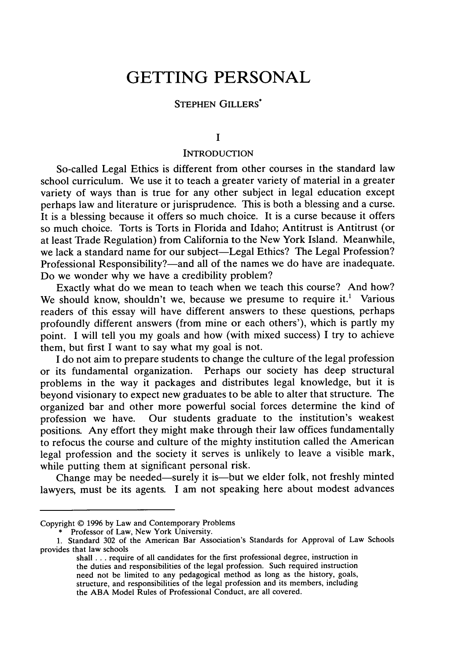# **GETTING PERSONAL**

## **STEPHEN** GILLERS\*

#### **I**

#### **INTRODUCTION**

So-called Legal Ethics is different from other courses in the standard law school curriculum. We use it to teach a greater variety of material in a greater variety of ways than is true for any other subject in legal education except perhaps law and literature or jurisprudence. This is both a blessing and a curse. It is a blessing because it offers so much choice. It is a curse because it offers so much choice. Torts is Torts in Florida and Idaho; Antitrust is Antitrust (or at least Trade Regulation) from California to the New York Island. Meanwhile, we lack a standard name for our subject-Legal Ethics? The Legal Profession? Professional Responsibility?—and all of the names we do have are inadequate. Do we wonder why we have a credibility problem?

Exactly what do we mean to teach when we teach this course? And how? We should know, shouldn't we, because we presume to require it.<sup>1</sup> Various readers of this essay will have different answers to these questions, perhaps profoundly different answers (from mine or each others'), which is partly my point. I will tell you my goals and how (with mixed success) I try to achieve them, but first I want to say what my goal is not.

I do not aim to prepare students to change the culture of the legal profession or its fundamental organization. Perhaps our society has deep structural problems in the way it packages and distributes legal knowledge, but it is beyond visionary to expect new graduates to be able to alter that structure. The organized bar and other more powerful social forces determine the kind of profession we have. Our students graduate to the institution's weakest positions. Any effort they might make through their law offices fundamentally to refocus the course and culture of the mighty institution called the American legal profession and the society it serves is unlikely to leave a visible mark, while putting them at significant personal risk.

Change may be needed—surely it is—but we elder folk, not freshly minted lawyers, must be its agents. I am not speaking here about modest advances

Copyright © 1996 by Law and Contemporary Problems

<sup>\*</sup> Professor of Law, New York University.

<sup>1.</sup> Standard 302 of the American Bar Association's Standards for Approval of Law Schools provides that law schools

shall **...** require of all candidates for the first professional degree, instruction in the duties and responsibilities of the legal profession. Such required instruction need not be limited to any pedagogical method as long as the history, goals, structure, and responsibilities of the legal profession and its members, including the ABA Model Rules of Professional Conduct, are all covered.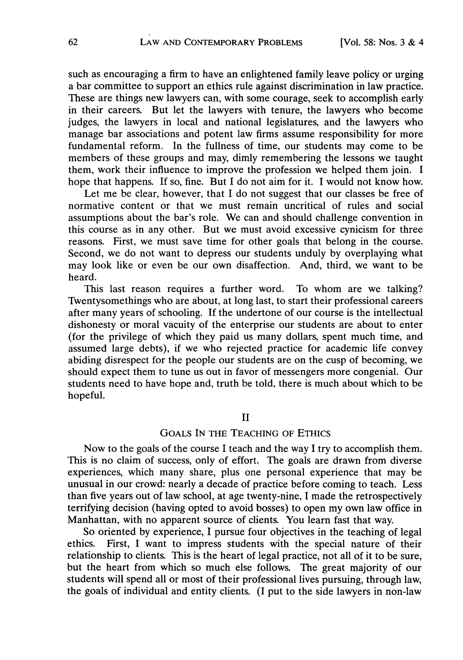such as encouraging a firm to have an enlightened family leave policy or urging a bar committee to support an ethics rule against discrimination in law practice. These are things new lawyers can, with some courage, seek to accomplish early in their careers. But let the lawyers with tenure, the lawyers who become judges, the lawyers in local and national legislatures, and the lawyers who manage bar associations and potent law firms assume responsibility for more fundamental reform. In the fullness of time, our students may come to be members of these groups and may, dimly remembering the lessons we taught them, work their influence to improve the profession we helped them join. I hope that happens. If so, fine. But I do not aim for it. I would not know how.

Let me be clear, however, that I do not suggest that our classes be free of normative content or that we must remain uncritical of rules and social assumptions about the bar's role. We can and should challenge convention in this course as in any other. But we must avoid excessive cynicism for three reasons. First, we must save time for other goals that belong in the course. Second, we do not want to depress our students unduly by overplaying what may look like or even be our own disaffection. And, third, we want to be heard.

This last reason requires a further word. To whom are we talking? Twentysomethings who are about, at long last, to start their professional careers after many years of schooling. If the undertone of our course is the intellectual dishonesty or moral vacuity of the enterprise our students are about to enter (for the privilege of which they paid us many dollars, spent much time, and assumed large debts), if we who rejected practice for academic life convey abiding disrespect for the people our students are on the cusp of becoming, we should expect them to tune us out in favor of messengers more congenial. Our students need to have hope and, truth be told, there is much about which to be hopeful.

#### II

## GOALS IN THE TEACHING OF ETHICS

Now to the goals of the course I teach and the way I try to accomplish them. This is no claim of success, only of effort. The goals are drawn from diverse experiences, which many share, plus one personal experience that may be unusual in our crowd: nearly a decade of practice before coming to teach. Less than five years out of law school, at age twenty-nine, I made the retrospectively terrifying decision (having opted to avoid bosses) to open my own law office in Manhattan, with no apparent source of clients. You learn fast that way.

So oriented by experience, I pursue four objectives in the teaching of legal ethics. First, I want to impress students with the special nature of their relationship to clients. This is the heart of legal practice, not all of it to be sure, but the heart from which so much else follows. The great majority of our students will spend all or most of their professional lives pursuing, through law, the goals of individual and entity clients. (I put to the side lawyers in non-law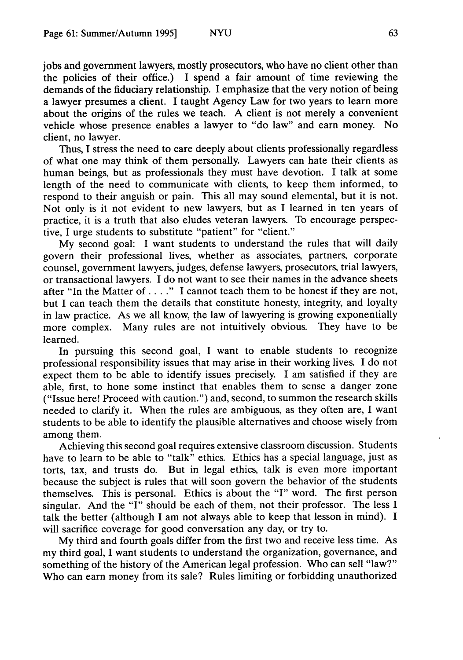jobs and government lawyers, mostly prosecutors, who have no client other than the policies of their office.) I spend a fair amount of time reviewing the demands of the fiduciary relationship. I emphasize that the very notion of being a lawyer presumes a client. I taught Agency Law for two years to learn more about the origins of the rules we teach. A client is not merely a convenient vehicle whose presence enables a lawyer to "do law" and earn money. No client, no lawyer.

Thus, I stress the need to care deeply about clients professionally regardless of what one may think of them personally. Lawyers can hate their clients as human beings, but as professionals they must have devotion. I talk at some length of the need to communicate with clients, to keep them informed, to respond to their anguish or pain. This all may sound elemental, but it is not. Not only is it not evident to new lawyers, but as I learned in ten years of practice, it is a truth that also eludes veteran lawyers. To encourage perspective, I urge students to substitute "patient" for "client."

My second goal: I want students to understand the rules that will daily govern their professional lives, whether as associates, partners, corporate counsel, government lawyers, judges, defense lawyers, prosecutors, trial lawyers, or transactional lawyers. I do not want to see their names in the advance sheets after "In the Matter **of.** . . **."** I cannot teach them to be honest if they are not, but I can teach them the details that constitute honesty, integrity, and loyalty in law practice. As we all know, the law of lawyering is growing exponentially more complex. Many rules are not intuitively obvious. They have to be learned.

In pursuing this second goal, I want to enable students to recognize professional responsibility issues that may arise in their working lives. I do not expect them to be able to identify issues precisely. I am satisfied if they are able, first, to hone some instinct that enables them to sense a danger zone ("Issue here! Proceed with caution.") and, second, to summon the research skills needed to clarify it. When the rules are ambiguous, as they often are, I want students to be able to identify the plausible alternatives and choose wisely from among them.

Achieving this second goal requires extensive classroom discussion. Students have to learn to be able to "talk" ethics. Ethics has a special language, just as torts, tax, and trusts do. But in legal ethics, talk is even more important because the subject is rules that will soon govern the behavior of the students themselves. This is personal. Ethics is about the "I" word. The first person singular. And the "I" should be each of them, not their professor. The less I talk the better (although I am not always able to keep that lesson in mind). I will sacrifice coverage for good conversation any day, or try to.

My third and fourth goals differ from the first two and receive less time. As my third goal, I want students to understand the organization, governance, and something of the history of the American legal profession. Who can sell "law?" Who can earn money from its sale? Rules limiting or forbidding unauthorized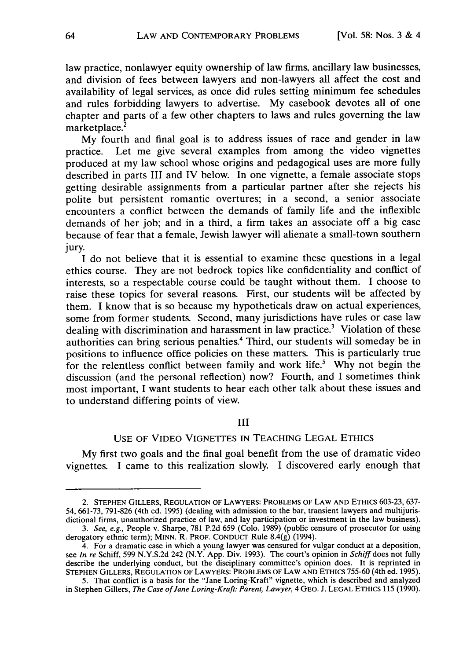law practice, nonlawyer equity ownership of law firms, ancillary law businesses, and division of fees between lawyers and non-lawyers all affect the cost and availability of legal services, as once did rules setting minimum fee schedules and rules forbidding lawyers to advertise. My casebook devotes all of one chapter and parts of a few other chapters to laws and rules governing the law marketplace.<sup>2</sup>

My fourth and final goal is to address issues of race and gender in law practice. Let me give several examples from among the video vignettes produced at my law school whose origins and pedagogical uses are more fully described in parts III and IV below. In one vignette, a female associate stops getting desirable assignments from a particular partner after she rejects his polite but persistent romantic overtures; in a second, a senior associate encounters a conflict between the demands of family life and the inflexible demands of her job; and in a third, a firm takes an associate off a big case because of fear that a female, Jewish lawyer will alienate a small-town southern jury.

I do not believe that it is essential to examine these questions in a legal ethics course. They are not bedrock topics like confidentiality and conflict of interests, so a respectable course could be taught without them. I choose to raise these topics for several reasons. First, our students will be affected by them. I know that is so because my hypotheticals draw on actual experiences, some from former students. Second, many jurisdictions have rules or case law dealing with discrimination and harassment in law practice.3 Violation of these authorities can bring serious penalties.4 Third, our students will someday be in positions to influence office policies on these matters. This is particularly true for the relentless conflict between family and work life.' Why not begin the discussion (and the personal reflection) now? Fourth, and I sometimes think most important, I want students to hear each other talk about these issues and to understand differing points of view.

## III

#### USE OF VIDEO VIGNETTES IN TEACHING LEGAL ETHICS

My first two goals and the final goal benefit from the use of dramatic video vignettes. I came to this realization slowly. I discovered early enough that

<sup>2.</sup> STEPHEN GILLERS, REGULATION OF LAWYERS: PROBLEMS OF LAW AND ETHICS 603-23, 637- 54, 661-73, 791-826 (4th ed. 1995) (dealing with admission to the bar, transient lawyers and multijurisdictional firms, unauthorized practice of law, and lay participation or investment in the law business).

*<sup>3.</sup> See, e.g.,* People v. Sharpe, 781 P.2d 659 (Colo. 1989) (public censure of prosecutor for using derogatory ethnic term); MINN. R. PROF. CONDUCT Rule 8.4(g) (1994).

<sup>4.</sup> For a dramatic case in which a young lawyer was censured for vulgar conduct at a deposition, see *In re* Schiff, 599 N.Y.S.2d 242 (N.Y. App. Div. 1993). The court's opinion in *Schiff* does not fully describe the underlying conduct, but the disciplinary committee's opinion does. It is reprinted in STEPHEN GILLERS, REGULATION OF LAWYERS: PROBLEMS OF LAW **AND** ETHICS 755-60 (4th ed. 1995).

<sup>5.</sup> That conflict is a basis for the "Jane Loring-Kraft" vignette, which is described and analyzed in Stephen Gillers, *The Case of Jane Loring-Kraft: Parent, Lawyer,* 4 GEO. **J.** LEGAL ETHICS 115 (1990).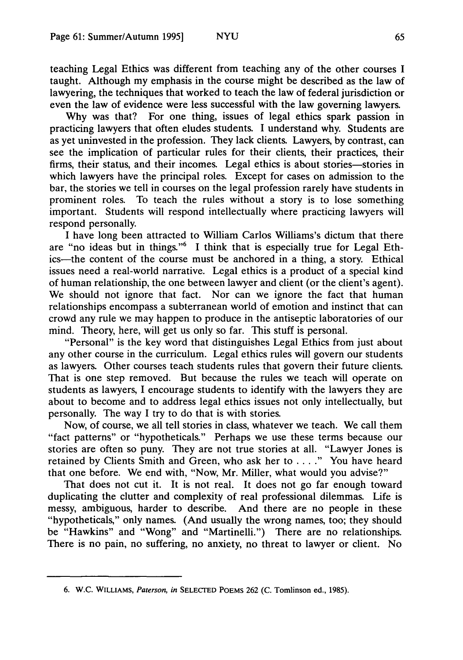teaching Legal Ethics was different from teaching any of the other courses I taught. Although my emphasis in the course might be described as the law of lawyering, the techniques that worked to teach the law of federal jurisdiction or even the law of evidence were less successful with the law governing lawyers.

Why was that? For one thing, issues of legal ethics spark passion in practicing lawyers that often eludes students. I understand why. Students are as yet uninvested in the profession. They lack clients. Lawyers, by contrast, can see the implication of particular rules for their clients, their practices, their firms, their status, and their incomes. Legal ethics is about stories—stories in which lawyers have the principal roles. Except for cases on admission to the bar, the stories we tell in courses on the legal profession rarely have students in prominent roles. To teach the rules without a story is to lose something important. Students will respond intellectually where practicing lawyers will respond personally.

I have long been attracted to William Carlos Williams's dictum that there are "no ideas but in things."6 I think that is especially true for Legal Ethics-the content of the course must be anchored in a thing, a story. Ethical issues need a real-world narrative. Legal ethics is a product of a special kind of human relationship, the one between lawyer and client (or the client's agent). We should not ignore that fact. Nor can we ignore the fact that human relationships encompass a subterranean world of emotion and instinct that can crowd any rule we may happen to produce in the antiseptic laboratories of our mind. Theory, here, will get us only so far. This stuff is personal.

"Personal" is the key word that distinguishes Legal Ethics from just about any other course in the curriculum. Legal ethics rules will govern our students as lawyers. Other courses teach students rules that govern their future clients. That is one step removed. But because the rules we teach will operate on students as lawyers, I encourage students to identify with the lawyers they are about to become and to address legal ethics issues not only intellectually, but personally. The way I try to do that is with stories.

Now, of course, we all tell stories in class, whatever we teach. We call them "fact patterns" or "hypotheticals." Perhaps we use these terms because our stories are often so puny. They are not true stories at all. "Lawyer Jones is retained by Clients Smith and Green, who ask her to . **. . ."** You have heard that one before. We end with, "Now, Mr. Miller, what would you advise?"

That does not cut it. It is not real. It does not go far enough toward duplicating the clutter and complexity of real professional dilemmas. Life is messy, ambiguous, harder to describe. And there are no people in these "hypotheticals," only names. (And usually the wrong names, too; they should be "Hawkins" and "Wong" and "Martinelli.") There are no relationships. There is no pain, no suffering, no anxiety, no threat to lawyer or client. No

<sup>6.</sup> W.C. WILLIAMS, *Paterson, in* SELECTED POEMS 262 (C. Tomlinson ed., 1985).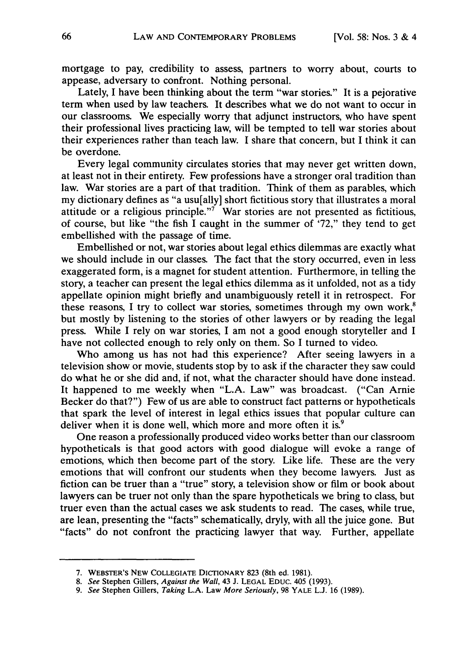mortgage to pay, credibility to assess, partners to worry about, courts to appease, adversary to confront. Nothing personal.

Lately, I have been thinking about the term "war stories." It is a pejorative term when used by law teachers. It describes what we do not want to occur in our classrooms. We especially worry that adjunct instructors, who have spent their professional lives practicing law, will be tempted to tell war stories about their experiences rather than teach law. I share that concern, but I think it can be overdone.

Every legal community circulates stories that may never get written down, at least not in their entirety. Few professions have a stronger oral tradition than law. War stories are a part of that tradition. Think of them as parables, which my dictionary defines as "a usu[ally] short fictitious story that illustrates a moral attitude or a religious principle."<sup>7</sup> War stories are not presented as fictitious, of course, but like "the fish I caught in the summer of '72," they tend to get embellished with the passage of time.

Embellished or not, war stories about legal ethics dilemmas are exactly what we should include in our classes. The fact that the story occurred, even in less exaggerated form, is a magnet for student attention. Furthermore, in telling the story, a teacher can present the legal ethics dilemma as it unfolded, not as a tidy appellate opinion might briefly and unambiguously retell it in retrospect. For these reasons, I try to collect war stories, sometimes through my own work,<sup>8</sup> but mostly by listening to the stories of other lawyers or by reading the legal press. While I rely on war stories, I am not a good enough storyteller and I have not collected enough to rely only on them. So I turned to video.

Who among us has not had this experience? After seeing lawyers in a television show or movie, students stop by to ask if the character they saw could do what he or she did and, if not, what the character should have done instead. It happened to me weekly when "L.A. Law" was broadcast. ("Can Arnie Becker do that?") Few of us are able to construct fact patterns or hypotheticals that spark the level of interest in legal ethics issues that popular culture can deliver when it is done well, which more and more often it is. $9$ 

One reason a professionally produced video works better than our classroom hypotheticals is that good actors with good dialogue will evoke a range of emotions, which then become part of the story. Like life. These are the very emotions that will confront our students when they become lawyers. Just as fiction can be truer than a "true" story, a television show or film or book about lawyers can be truer not only than the spare hypotheticals we bring to class, but truer even than the actual cases we ask students to read. The cases, while true, are lean, presenting the "facts" schematically, dryly, with all the juice gone. But "facts" do not confront the practicing lawyer that way. Further, appellate

<sup>7.</sup> WEBSTER'S **NEW COLLEGIATE DICTIONARY** 823 (8th ed. 1981).

*<sup>8.</sup> See* Stephen Gillers, *Against the Wall,* 43 **J. LEGAL** EDuc. 405 **(1993).**

*<sup>9.</sup> See* Stephen Gillers, *Taking* **L.A.** Law *More Seriously,* 98 YALE **L.J. 16 (1989).**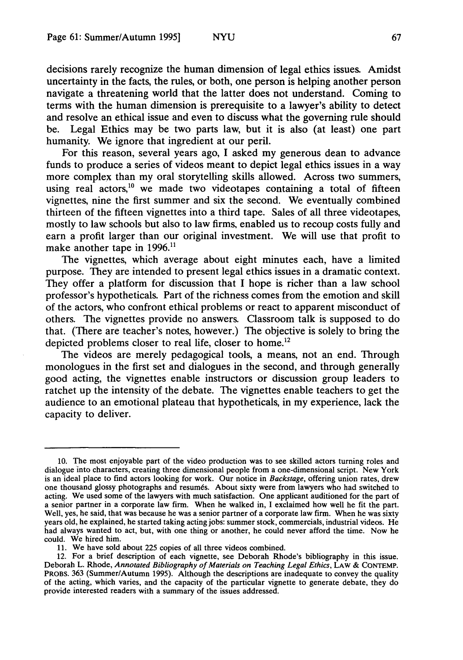decisions rarely recognize the human dimension of legal ethics issues. Amidst uncertainty in the facts, the rules, or both, one person is helping another person navigate a threatening world that the latter does not understand. Coming to terms with the human dimension is prerequisite to a lawyer's ability to detect and resolve an ethical issue and even to discuss what the governing rule should be. Legal Ethics may be two parts law, but it is also (at least) one part humanity. We ignore that ingredient at our peril.

For this reason, several years ago, I asked my generous dean to advance funds to produce a series of videos meant to depict legal ethics issues in a way more complex than my oral storytelling skills allowed. Across two summers, using real actors, $^{10}$  we made two videotapes containing a total of fifteen vignettes, nine the first summer and six the second. We eventually combined thirteen of the fifteen vignettes into a third tape. Sales of all three videotapes, mostly to law schools but also to law firms, enabled us to recoup costs fully and earn a profit larger than our original investment. We will use that profit to make another tape in 1996.<sup>11</sup>

The vignettes, which average about eight minutes each, have a limited purpose. They are intended to present legal ethics issues in a dramatic context. They offer a platform for discussion that I hope is richer than a law school professor's hypotheticals. Part of the richness comes from the emotion and skill of the actors, who confront ethical problems or react to apparent misconduct of others. The vignettes provide no answers. Classroom talk is supposed to do that. (There are teacher's notes, however.) The objective is solely to bring the depicted problems closer to real life, closer to home.<sup>12</sup>

The videos are merely pedagogical tools, a means, not an end. Through monologues in the first set and dialogues in the second, and through generally good acting, the vignettes enable instructors or discussion group leaders to ratchet up the intensity of the debate. The vignettes enable teachers to get the audience to an emotional plateau that hypotheticals, in my experience, lack the capacity to deliver.

<sup>10.</sup> The most enjoyable part of the video production was to see skilled actors turning roles and dialogue into characters, creating three dimensional people from a one-dimensional script. New York is an ideal place to find actors looking for work. Our notice in *Backstage,* offering union rates, drew one thousand glossy photographs and resumes. About sixty were from lawyers who had switched to acting. We used some of the lawyers with much satisfaction. One applicant auditioned for the part of a senior partner in a corporate law firm. When he walked in, I exclaimed how well he fit the part. Well, yes, he said, that was because he was a senior partner of a corporate law firm. When he was sixty years old, he explained, he started taking acting jobs: summer stock, commercials, industrial videos. He had always wanted to act, but, with one thing or another, he could never afford the time. Now he could. We hired him.

<sup>11.</sup> We have sold about 225 copies of all three videos combined.

<sup>12.</sup> For a brief description of each vignette, see Deborah Rhode's bibliography in this issue. Deborah L. Rhode, *Annotated Bibliography of Materials on Teaching Legal Ethics,* LAW **& CONTEMP.** PROBS. 363 (Summer/Autumn 1995). Although the descriptions are inadequate to convey the quality of the acting, which varies, and the capacity of the particular vignette to generate debate, they do provide interested readers with a summary of the issues addressed.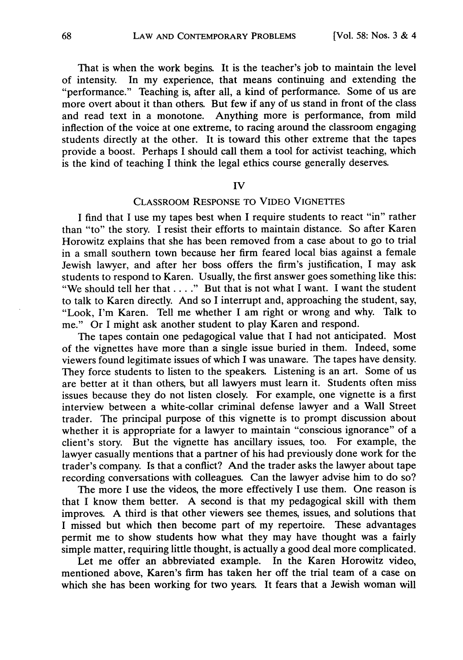That is when the work begins. It is the teacher's job to maintain the level of intensity. In my experience, that means continuing and extending the "performance." Teaching is, after all, a kind of performance. Some of us are more overt about it than others. But few if any of us stand in front of the class and read text in a monotone. Anything more is performance, from mild inflection of the voice at one extreme, to racing around the classroom engaging students directly at the other. It is toward this other extreme that the tapes provide a boost. Perhaps I should call them a tool for activist teaching, which is the kind of teaching  $\overline{I}$  think the legal ethics course generally deserves.

#### IV

# CLASSROOM RESPONSE TO VIDEO VIGNETIES

I find that I use my tapes best when I require students to react "in" rather than "to" the story. I resist their efforts to maintain distance. So after Karen Horowitz explains that she has been removed from a case about to go to trial in a small southern town because her firm feared local bias against a female Jewish lawyer, and after her boss offers the firm's justification, I may ask students to respond to Karen. Usually, the first answer goes something like this: "We should tell her that. . . **."** But that is not what I want. I want the student to talk to Karen directly. And so I interrupt and, approaching the student, say, "Look, I'm Karen. Tell me whether I am right or wrong and why. Talk to me." Or I might ask another student to play Karen and respond.

The tapes contain one pedagogical value that I had not anticipated. Most of the vignettes have more than a single issue buried in them. Indeed, some viewers found legitimate issues of which I was unaware. The tapes have density. They force students to listen to the speakers. Listening is an art. Some of us are better at it than others, but all lawyers must learn it. Students often miss issues because they do not listen closely. For example, one vignette is a first interview between a white-collar criminal defense lawyer and a Wall Street trader. The principal purpose of this vignette is to prompt discussion about whether it is appropriate for a lawyer to maintain "conscious ignorance" of a client's story. But the vignette has ancillary issues, too. For example, the lawyer casually mentions that a partner of his had previously done work for the trader's company. Is that a conflict? And the trader asks the lawyer about tape recording conversations with colleagues. Can the lawyer advise him to do so?

The more I use the videos, the more effectively I use them. One reason is that I know them better. A second is that my pedagogical skill with them improves. A third is that other viewers see themes, issues, and solutions that I missed but which then become part of my repertoire. These advantages permit me to show students how what they may have thought was a fairly simple matter, requiring little thought, is actually a good deal more complicated.

Let me offer an abbreviated example. In the Karen Horowitz video, mentioned above, Karen's firm has taken her off the trial team of a case on which she has been working for two years. It fears that a Jewish woman will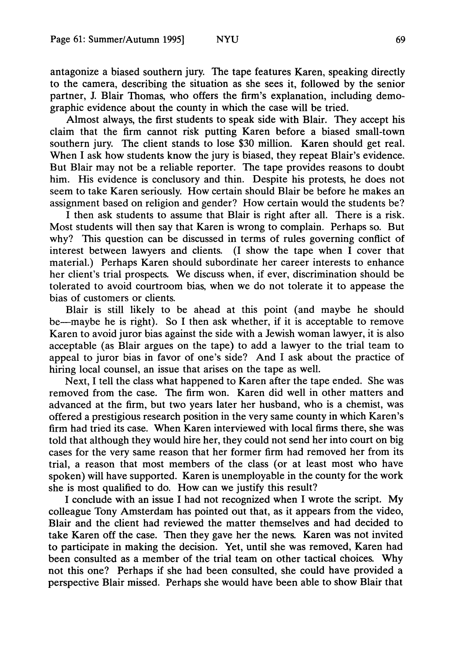antagonize a biased southern jury. The tape features Karen, speaking directly to the camera, describing the situation as she sees it, followed by the senior partner, J. Blair Thomas, who offers the firm's explanation, including demographic evidence about the county in which the case will be tried.

Almost always, the first students to speak side with Blair. They accept his claim that the firm cannot risk putting Karen before a biased small-town southern jury. The client stands to lose \$30 million. Karen should get real. When I ask how students know the jury is biased, they repeat Blair's evidence. But Blair may not be a reliable reporter. The tape provides reasons to doubt him. His evidence is conclusory and thin. Despite his protests, he does not seem to take Karen seriously. How certain should Blair be before he makes an assignment based on religion and gender? How certain would the students be?

I then ask students to assume that Blair is right after all. There is a risk. Most students will then say that Karen is wrong to complain. Perhaps so. But why? This question can be discussed in terms of rules governing conflict of interest between lawyers and clients. (I show the tape when I cover that material.) Perhaps Karen should subordinate her career interests to enhance her client's trial prospects. We discuss when, if ever, discrimination should be tolerated to avoid courtroom bias, when we do not tolerate it to appease the bias of customers or clients.

Blair is still likely to be ahead at this point (and maybe he should be-maybe he is right). So I then ask whether, if it is acceptable to remove Karen to avoid juror bias against the side with a Jewish woman lawyer, it is also acceptable (as Blair argues on the tape) to add a lawyer to the trial team to appeal to juror bias in favor of one's side? And I ask about the practice of hiring local counsel, an issue that arises on the tape as well.

Next, I tell the class what happened to Karen after the tape ended. She was removed from the case. The firm won. Karen did well in other matters and advanced at the firm, but two years later her husband, who is a chemist, was offered a prestigious research position in the very same county in which Karen's firm had tried its case. When Karen interviewed with local firms there, she was told that although they would hire her, they could not send her into court on big cases for the very same reason that her former firm had removed her from its trial, a reason that most members of the class (or at least most who have spoken) will have supported. Karen is unemployable in the county for the work she is most qualified to do. How can we justify this result?

I conclude with an issue I had not recognized when I wrote the script. My colleague Tony Amsterdam has pointed out that, as it appears from the video, Blair and the client had reviewed the matter themselves and had decided to take Karen off the case. Then they gave her the news. Karen was not invited to participate in making the decision. Yet, until she was removed, Karen had been consulted as a member of the trial team on other tactical choices. Why not this one? Perhaps if she had been consulted, she could have provided a perspective Blair missed. Perhaps she would have been able to show Blair that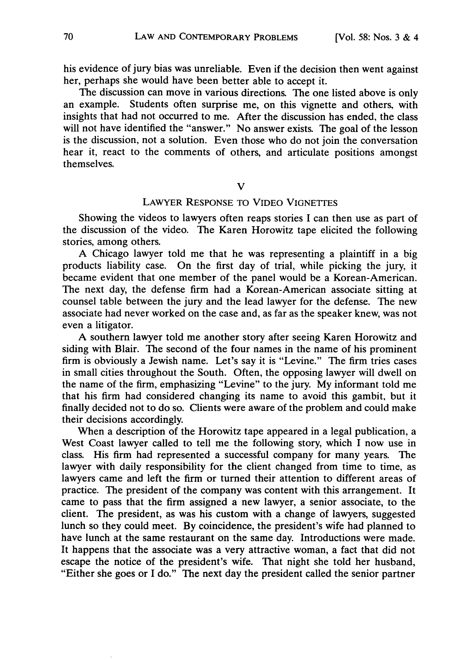his evidence of jury bias was unreliable. Even if the decision then went against her, perhaps she would have been better able to accept it.

The discussion can move in various directions. The one listed above is only an example. Students often surprise me, on this vignette and others, with insights that had not occurred to me. After the discussion has ended, the class will not have identified the "answer." No answer exists. The goal of the lesson is the discussion, not a solution. Even those who do not join the conversation hear it, react to the comments of others, and articulate positions amongst themselves.

V

## LAWYER **RESPONSE** TO **VIDEO VIGNETFES**

Showing the videos to lawyers often reaps stories I can then use as part of the discussion of the video. The Karen Horowitz tape elicited the following stories, among others.

A Chicago lawyer told me that he was representing a plaintiff in a big products liability case. On the first day of trial, while picking the jury, it became evident that one member of the panel would be a Korean-American. The next day, the defense firm had a Korean-American associate sitting at counsel table between the jury and the lead lawyer for the defense. The new associate had never worked on the case and, as far as the speaker knew, was not even a litigator.

A southern lawyer told me another story after seeing Karen Horowitz and siding with Blair. The second of the four names in the name of his prominent firm is obviously a Jewish name. Let's say it is "Levine." The firm tries cases in small cities throughout the South. Often, the opposing lawyer will dwell on the name of the firm, emphasizing "Levine" to the jury. My informant told me that his firm had considered changing its name to avoid this gambit, but it finally decided not to do so. Clients were aware of the problem and could make their decisions accordingly.

When a description of the Horowitz tape appeared in a legal publication, a West Coast lawyer called to tell me the following story, which I now use in class. His firm had represented a successful company for many years. The lawyer with daily responsibility for the client changed from time to time, as lawyers came and left the firm or turned their attention to different areas of practice. The president of the company was content with this arrangement. It came to pass that the firm assigned a new lawyer, a senior associate, to the client. The president, as was his custom with a change of lawyers, suggested lunch so they could meet. By coincidence, the president's wife had planned to have lunch at the same restaurant on the same day. Introductions were made. It happens that the associate was a very attractive woman, a fact that did not escape the notice of the president's wife. That night she told her husband, "Either she goes or I do." The next day the president called the senior partner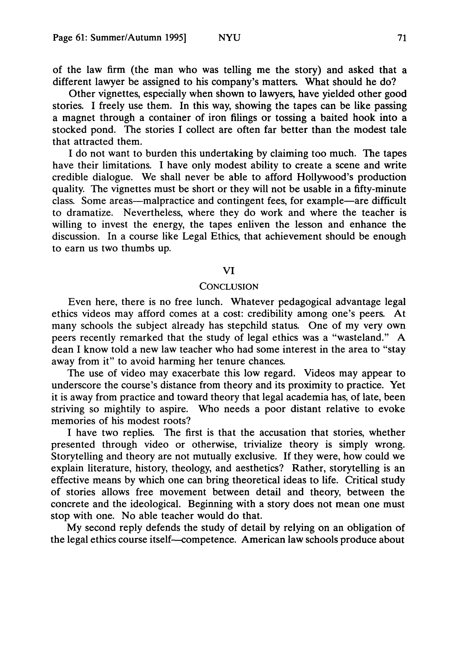of the law firm (the man who was telling me the story) and asked that a different lawyer be assigned to his company's matters. What should he do?

Other vignettes, especially when shown to lawyers, have yielded other good stories. I freely use them. In this way, showing the tapes can be like passing a magnet through a container of iron filings or tossing a baited hook into a stocked pond. The stories I collect are often far better than the modest tale that attracted them.

I do not want to burden this undertaking by claiming too much. The tapes have their limitations. I have only modest ability to create a scene and write credible dialogue. We shall never be able to afford Hollywood's production quality. The vignettes must be short or they will not be usable in a fifty-minute class. Some areas-malpractice and contingent fees, for example-are difficult to dramatize. Nevertheless, where they do work and where the teacher is willing to invest the energy, the tapes enliven the lesson and enhance the discussion. In a course like Legal Ethics, that achievement should be enough to earn us two thumbs up.

### VI

#### **CONCLUSION**

Even here, there is no free lunch. Whatever pedagogical advantage legal ethics videos may afford comes at a cost: credibility among one's peers. At many schools the subject already has stepchild status. One of my very own peers recently remarked that the study of legal ethics was a "wasteland." A dean I know told a new law teacher who had some interest in the area to "stay away from it" to avoid harming her tenure chances.

The use of video may exacerbate this low regard. Videos may appear to underscore the course's distance from theory and its proximity to practice. Yet it is away from practice and toward theory that legal academia has, of late, been striving so mightily to aspire. Who needs a poor distant relative to evoke memories of his modest roots?

I have two replies. The first is that the accusation that stories, whether presented through video or otherwise, trivialize theory is simply wrong. Storytelling and theory are not mutually exclusive. If they were, how could we explain literature, history, theology, and aesthetics? Rather, storytelling is an effective means by which one can bring theoretical ideas to life. Critical study of stories allows free movement between detail and theory, between the concrete and the ideological. Beginning with a story does not mean one must stop with one. No able teacher would do that.

My second reply defends the study of detail by relying on an obligation of the legal ethics course itself-competence. American law schools produce about